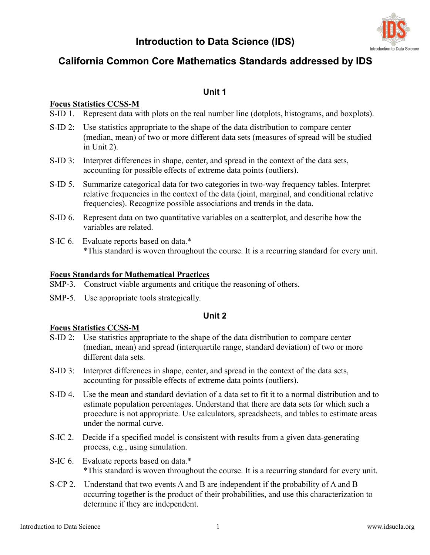# **Introduction to Data Science (IDS)**



# **California Common Core Mathematics Standards addressed by IDS**

# **Unit 1**

# **Focus Statistics CCSS-M**

- S-ID 1. Represent data with plots on the real number line (dotplots, histograms, and boxplots).
- S-ID 2: Use statistics appropriate to the shape of the data distribution to compare center (median, mean) of two or more different data sets (measures of spread will be studied in Unit 2).
- S-ID 3: Interpret differences in shape, center, and spread in the context of the data sets, accounting for possible effects of extreme data points (outliers).
- S-ID 5. Summarize categorical data for two categories in two-way frequency tables. Interpret relative frequencies in the context of the data (joint, marginal, and conditional relative frequencies). Recognize possible associations and trends in the data.
- S-ID 6. Represent data on two quantitative variables on a scatterplot, and describe how the variables are related.
- S-IC 6. Evaluate reports based on data.\* \*This standard is woven throughout the course. It is a recurring standard for every unit.

# **Focus Standards for Mathematical Practices**

- SMP-3. Construct viable arguments and critique the reasoning of others.
- SMP-5. Use appropriate tools strategically.

# **Unit 2**

# **Focus Statistics CCSS-M**

- S-ID 2: Use statistics appropriate to the shape of the data distribution to compare center (median, mean) and spread (interquartile range, standard deviation) of two or more different data sets.
- S-ID 3: Interpret differences in shape, center, and spread in the context of the data sets, accounting for possible effects of extreme data points (outliers).
- S-ID 4. Use the mean and standard deviation of a data set to fit it to a normal distribution and to estimate population percentages. Understand that there are data sets for which such a procedure is not appropriate. Use calculators, spreadsheets, and tables to estimate areas under the normal curve.
- S-IC 2. Decide if a specified model is consistent with results from a given data-generating process, e.g., using simulation.
- S-IC 6. Evaluate reports based on data.\* \*This standard is woven throughout the course. It is a recurring standard for every unit.
- S-CP 2. Understand that two events A and B are independent if the probability of A and B occurring together is the product of their probabilities, and use this characterization to determine if they are independent.